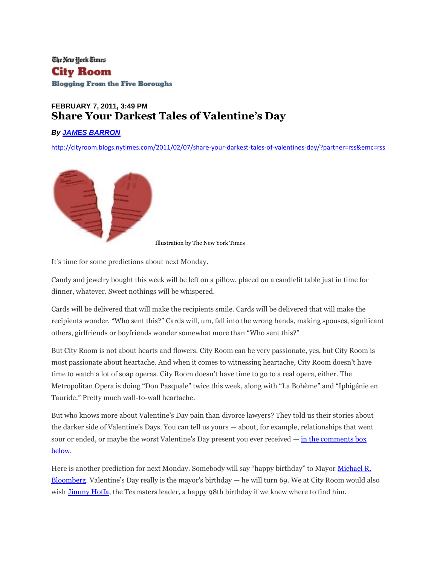The New York Times **City Room Blogging From the Five Boroughs** 

## **FEBRUARY 7, 2011, 3:49 PM Share Your Darkest Tales of Valentine's Day**

*By [JAMES BARRON](http://cityroom.blogs.nytimes.com/author/james-barron/)*

<http://cityroom.blogs.nytimes.com/2011/02/07/share-your-darkest-tales-of-valentines-day/?partner=rss&emc=rss>



Illustration by The New York Times

It's time for some predictions about next Monday.

Candy and jewelry bought this week will be left on a pillow, placed on a candlelit table just in time for dinner, whatever. Sweet nothings will be whispered.

Cards will be delivered that will make the recipients smile. Cards will be delivered that will make the recipients wonder, "Who sent this?" Cards will, um, fall into the wrong hands, making spouses, significant others, girlfriends or boyfriends wonder somewhat more than "Who sent this?"

But City Room is not about hearts and flowers. City Room can be very passionate, yes, but City Room is most passionate about heartache. And when it comes to witnessing heartache, City Room doesn't have time to watch a lot of soap operas. City Room doesn't have time to go to a real opera, either. The Metropolitan Opera is doing "Don Pasquale" twice this week, along with "La Bohème" and "Iphigénie en Tauride." Pretty much wall-to-wall heartache.

But who knows more about Valentine's Day pain than divorce lawyers? They told us their stories about the darker side of Valentine's Days. You can tell us yours — about, for example, relationships that went sour or ended, or maybe the worst Valentine's Day present you ever received  $-\underline{\text{in the comments box}}$ [below.](http://cityroom.blogs.nytimes.com/2011/02/07/share-your-darkest-tales-of-valentines-day/)

Here is another prediction for next Monday. Somebody will say "happy birthday" to Mayor [Michael R.](http://topics.nytimes.com/top/reference/timestopics/people/b/michael_r_bloomberg/index.html)  [Bloomberg](http://topics.nytimes.com/top/reference/timestopics/people/b/michael_r_bloomberg/index.html). Valentine's Day really is the mayor's birthday  $-$  he will turn 69. We at City Room would also wish [Jimmy Hoffa,](http://topics.nytimes.com/topics/reference/timestopics/people/h/james_r_hoffa/index.html) the Teamsters leader, a happy 98th birthday if we knew where to find him.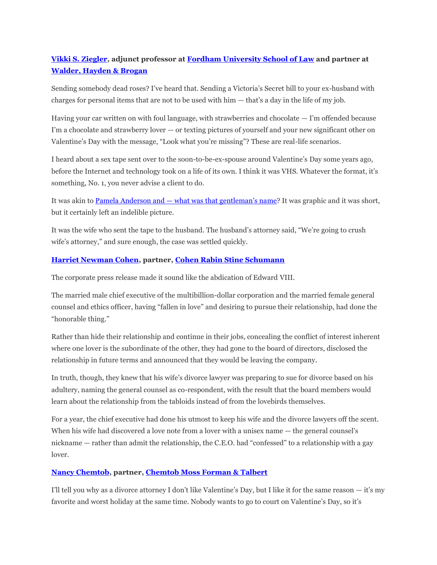## **[Vikki S. Ziegler,](http://vikkiziegler.com/) adjunct professor at [Fordham University School of Law](http://www.fordham.edu/) and partner at [Walder, Hayden & Brogan](http://www.whbesqs.com/whb%20mock%20server/main/About%20The%20Firm.html)**

Sending somebody dead roses? I've heard that. Sending a Victoria's Secret bill to your ex-husband with charges for personal items that are not to be used with him — that's a day in the life of my job.

Having your car written on with foul language, with strawberries and chocolate — I'm offended because I'm a chocolate and strawberry lover — or texting pictures of yourself and your new significant other on Valentine's Day with the message, "Look what you're missing"? These are real-life scenarios.

I heard about a sex tape sent over to the soon-to-be-ex-spouse around Valentine's Day some years ago, before the Internet and technology took on a life of its own. I think it was VHS. Whatever the format, it's something, No. 1, you never advise a client to do.

It was akin to Pamela Anderson and — [what was that gentleman's name](http://www.imdb.com/title/tt0158062/)? It was graphic and it was short, but it certainly left an indelible picture.

It was the wife who sent the tape to the husband. The husband's attorney said, "We're going to crush wife's attorney," and sure enough, the case was settled quickly.

## **[Harriet Newman Cohen,](http://crsslaw.com/attorneys/hcohen.html) partner[, Cohen Rabin Stine Schumann](http://crsslaw.com/)**

The corporate press release made it sound like the abdication of Edward VIII.

The married male chief executive of the multibillion-dollar corporation and the married female general counsel and ethics officer, having "fallen in love" and desiring to pursue their relationship, had done the "honorable thing."

Rather than hide their relationship and continue in their jobs, concealing the conflict of interest inherent where one lover is the subordinate of the other, they had gone to the board of directors, disclosed the relationship in future terms and announced that they would be leaving the company.

In truth, though, they knew that his wife's divorce lawyer was preparing to sue for divorce based on his adultery, naming the general counsel as co-respondent, with the result that the board members would learn about the relationship from the tabloids instead of from the lovebirds themselves.

For a year, the chief executive had done his utmost to keep his wife and the divorce lawyers off the scent. When his wife had discovered a love note from a lover with a unisex name — the general counsel's nickname — rather than admit the relationship, the C.E.O. had "confessed" to a relationship with a gay lover.

## **[Nancy Chemtob,](http://www.cmftlaw.com/chemtobmossformm.html) partner, Chemtob Moss [Forman & Talbert](http://www.cmftlaw.com/)**

I'll tell you why as a divorce attorney I don't like Valentine's Day, but I like it for the same reason — it's my favorite and worst holiday at the same time. Nobody wants to go to court on Valentine's Day, so it's